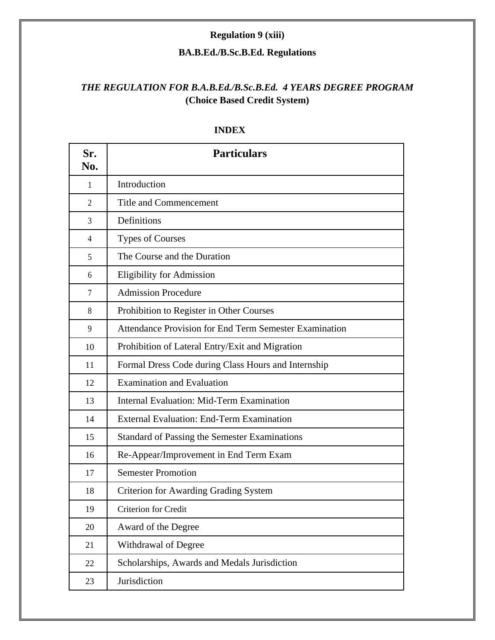# **Regulation 9 (xiii)**

### **BA.B.Ed./B.Sc.B.Ed. Regulations**

# *THE REGULATION FOR B.A.B.Ed./B.Sc.B.Ed. 4 YEARS DEGREE PROGRAM* **(Choice Based Credit System)**

| Sr.<br>No. | <b>Particulars</b>                                     |
|------------|--------------------------------------------------------|
| 1          | Introduction                                           |
| 2          | Title and Commencement                                 |
| 3          | Definitions                                            |
| 4          | <b>Types of Courses</b>                                |
| 5          | The Course and the Duration                            |
| 6          | <b>Eligibility for Admission</b>                       |
| 7          | <b>Admission Procedure</b>                             |
| 8          | Prohibition to Register in Other Courses               |
| 9          | Attendance Provision for End Term Semester Examination |
| 10         | Prohibition of Lateral Entry/Exit and Migration        |
| 11         | Formal Dress Code during Class Hours and Internship    |
| 12         | <b>Examination and Evaluation</b>                      |
| 13         | <b>Internal Evaluation: Mid-Term Examination</b>       |
| 14         | <b>External Evaluation: End-Term Examination</b>       |
| 15         | <b>Standard of Passing the Semester Examinations</b>   |
| 16         | Re-Appear/Improvement in End Term Exam                 |
| 17         | <b>Semester Promotion</b>                              |
| 18         | <b>Criterion for Awarding Grading System</b>           |
| 19         | Criterion for Credit                                   |
| 20         | Award of the Degree                                    |
| 21         | Withdrawal of Degree                                   |
| 22         | Scholarships, Awards and Medals Jurisdiction           |
| 23         | Jurisdiction                                           |

#### **INDEX**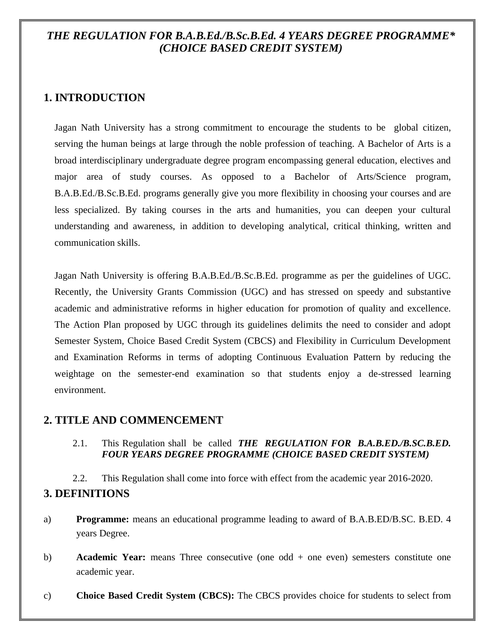# *THE REGULATION FOR B.A.B.Ed./B.Sc.B.Ed. 4 YEARS DEGREE PROGRAMME\* (CHOICE BASED CREDIT SYSTEM)*

# **1. INTRODUCTION**

Jagan Nath University has a strong commitment to encourage the students to be global citizen, serving the human beings at large through the noble profession of teaching. A Bachelor of Arts is a broad interdisciplinary undergraduate degree program encompassing general education, electives and major area of study courses. As opposed to a Bachelor of Arts/Science program, B.A.B.Ed./B.Sc.B.Ed. programs generally give you more flexibility in choosing your courses and are less specialized. By taking courses in the arts and humanities, you can deepen your cultural understanding and awareness, in addition to developing analytical, critical thinking, written and communication skills.

Jagan Nath University is offering B.A.B.Ed./B.Sc.B.Ed. programme as per the guidelines of UGC. Recently, the University Grants Commission (UGC) and has stressed on speedy and substantive academic and administrative reforms in higher education for promotion of quality and excellence. The Action Plan proposed by UGC through its guidelines delimits the need to consider and adopt Semester System, Choice Based Credit System (CBCS) and Flexibility in Curriculum Development and Examination Reforms in terms of adopting Continuous Evaluation Pattern by reducing the weightage on the semester-end examination so that students enjoy a de-stressed learning environment.

#### **2. TITLE AND COMMENCEMENT**

2.1. This Regulation shall be called *THE REGULATION FOR B.A.B.ED./B.SC.B.ED. FOUR YEARS DEGREE PROGRAMME (CHOICE BASED CREDIT SYSTEM)* 

2.2. This Regulation shall come into force with effect from the academic year 2016-2020. **3. DEFINITIONS** 

- a) **Programme:** means an educational programme leading to award of B.A.B.ED/B.SC. B.ED. 4 years Degree.
- b) **Academic Year:** means Three consecutive (one odd + one even) semesters constitute one academic year.
- c) **Choice Based Credit System (CBCS):** The CBCS provides choice for students to select from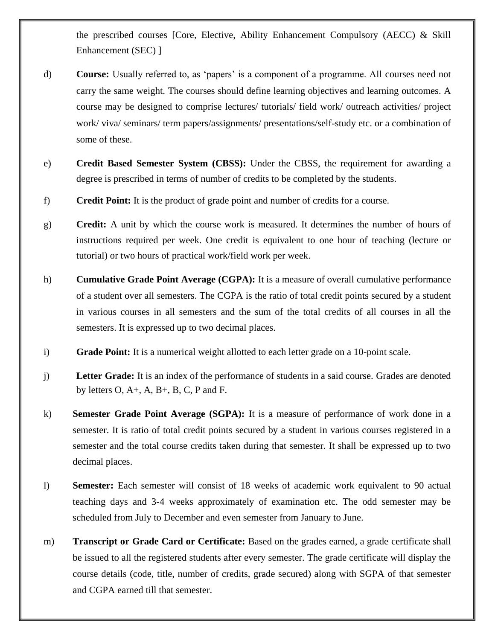the prescribed courses [Core, Elective, Ability Enhancement Compulsory (AECC) & Skill Enhancement (SEC) ]

- d) **Course:** Usually referred to, as 'papers' is a component of a programme. All courses need not carry the same weight. The courses should define learning objectives and learning outcomes. A course may be designed to comprise lectures/ tutorials/ field work/ outreach activities/ project work/ viva/ seminars/ term papers/assignments/ presentations/self-study etc. or a combination of some of these.
- e) **Credit Based Semester System (CBSS):** Under the CBSS, the requirement for awarding a degree is prescribed in terms of number of credits to be completed by the students.
- f) **Credit Point:** It is the product of grade point and number of credits for a course.
- g) **Credit:** A unit by which the course work is measured. It determines the number of hours of instructions required per week. One credit is equivalent to one hour of teaching (lecture or tutorial) or two hours of practical work/field work per week.
- h) **Cumulative Grade Point Average (CGPA):** It is a measure of overall cumulative performance of a student over all semesters. The CGPA is the ratio of total credit points secured by a student in various courses in all semesters and the sum of the total credits of all courses in all the semesters. It is expressed up to two decimal places.
- i) **Grade Point:** It is a numerical weight allotted to each letter grade on a 10-point scale.
- j) **Letter Grade:** It is an index of the performance of students in a said course. Grades are denoted by letters  $O, A+, A, B+, B, C, P$  and F.
- k) **Semester Grade Point Average (SGPA):** It is a measure of performance of work done in a semester. It is ratio of total credit points secured by a student in various courses registered in a semester and the total course credits taken during that semester. It shall be expressed up to two decimal places.
- l) **Semester:** Each semester will consist of 18 weeks of academic work equivalent to 90 actual teaching days and 3-4 weeks approximately of examination etc. The odd semester may be scheduled from July to December and even semester from January to June.
- m) **Transcript or Grade Card or Certificate:** Based on the grades earned, a grade certificate shall be issued to all the registered students after every semester. The grade certificate will display the course details (code, title, number of credits, grade secured) along with SGPA of that semester and CGPA earned till that semester.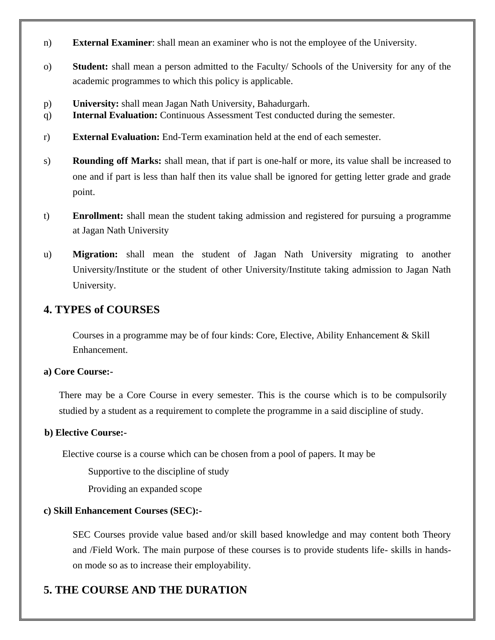- n) **External Examiner**: shall mean an examiner who is not the employee of the University.
- o) **Student:** shall mean a person admitted to the Faculty/ Schools of the University for any of the academic programmes to which this policy is applicable.
- p) **University:** shall mean Jagan Nath University, Bahadurgarh.
- q) **Internal Evaluation:** Continuous Assessment Test conducted during the semester.
- r) **External Evaluation:** End-Term examination held at the end of each semester.
- s) **Rounding off Marks:** shall mean, that if part is one-half or more, its value shall be increased to one and if part is less than half then its value shall be ignored for getting letter grade and grade point.
- t) **Enrollment:** shall mean the student taking admission and registered for pursuing a programme at Jagan Nath University
- u) **Migration:** shall mean the student of Jagan Nath University migrating to another University/Institute or the student of other University/Institute taking admission to Jagan Nath University.

# **4. TYPES of COURSES**

Courses in a programme may be of four kinds: Core, Elective, Ability Enhancement & Skill Enhancement.

#### **a) Core Course:-**

There may be a Core Course in every semester. This is the course which is to be compulsorily studied by a student as a requirement to complete the programme in a said discipline of study.

#### **b) Elective Course:-**

Elective course is a course which can be chosen from a pool of papers. It may be

Supportive to the discipline of study

Providing an expanded scope

#### **c) Skill Enhancement Courses (SEC):-**

SEC Courses provide value based and/or skill based knowledge and may content both Theory and /Field Work. The main purpose of these courses is to provide students life- skills in handson mode so as to increase their employability.

# **5. THE COURSE AND THE DURATION**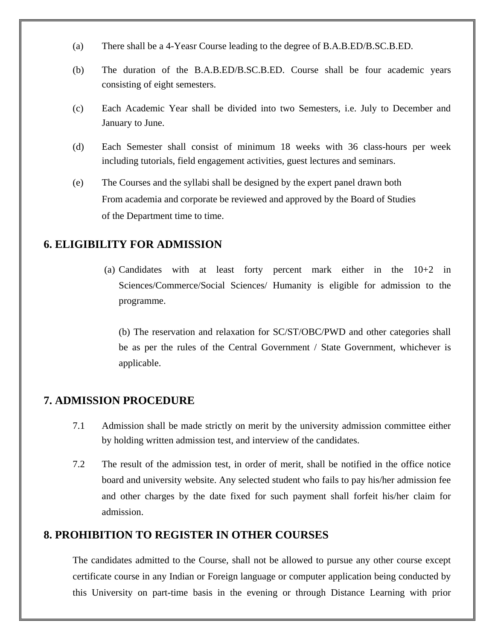- (a) There shall be a 4-Yeasr Course leading to the degree of B.A.B.ED/B.SC.B.ED.
- (b) The duration of the B.A.B.ED/B.SC.B.ED. Course shall be four academic years consisting of eight semesters.
- (c) Each Academic Year shall be divided into two Semesters, i.e. July to December and January to June.
- (d) Each Semester shall consist of minimum 18 weeks with 36 class-hours per week including tutorials, field engagement activities, guest lectures and seminars.
- (e) The Courses and the syllabi shall be designed by the expert panel drawn both From academia and corporate be reviewed and approved by the Board of Studies of the Department time to time.

#### **6. ELIGIBILITY FOR ADMISSION**

(a) Candidates with at least forty percent mark either in the 10+2 in Sciences/Commerce/Social Sciences/ Humanity is eligible for admission to the programme.

(b) The reservation and relaxation for SC/ST/OBC/PWD and other categories shall be as per the rules of the Central Government / State Government, whichever is applicable.

#### **7. ADMISSION PROCEDURE**

- 7.1 Admission shall be made strictly on merit by the university admission committee either by holding written admission test, and interview of the candidates.
- 7.2 The result of the admission test, in order of merit, shall be notified in the office notice board and university website. Any selected student who fails to pay his/her admission fee and other charges by the date fixed for such payment shall forfeit his/her claim for admission.

# **8. PROHIBITION TO REGISTER IN OTHER COURSES**

The candidates admitted to the Course, shall not be allowed to pursue any other course except certificate course in any Indian or Foreign language or computer application being conducted by this University on part-time basis in the evening or through Distance Learning with prior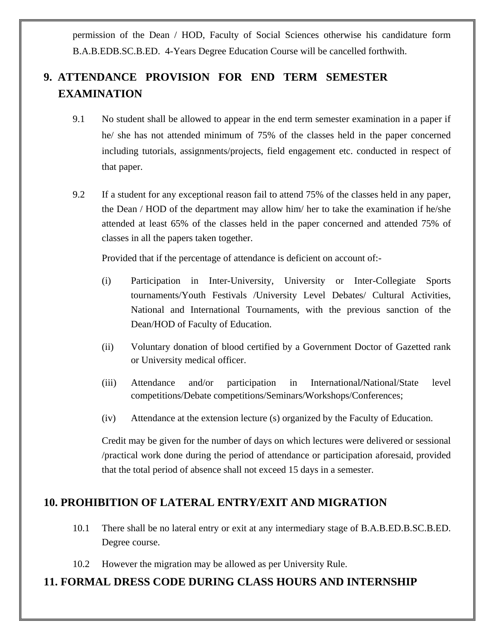permission of the Dean / HOD, Faculty of Social Sciences otherwise his candidature form B.A.B.EDB.SC.B.ED. 4-Years Degree Education Course will be cancelled forthwith.

# **9. ATTENDANCE PROVISION FOR END TERM SEMESTER EXAMINATION**

- 9.1 No student shall be allowed to appear in the end term semester examination in a paper if he/ she has not attended minimum of 75% of the classes held in the paper concerned including tutorials, assignments/projects, field engagement etc. conducted in respect of that paper.
- 9.2 If a student for any exceptional reason fail to attend 75% of the classes held in any paper, the Dean / HOD of the department may allow him/ her to take the examination if he/she attended at least 65% of the classes held in the paper concerned and attended 75% of classes in all the papers taken together.

Provided that if the percentage of attendance is deficient on account of:-

- (i) Participation in Inter-University, University or Inter-Collegiate Sports tournaments/Youth Festivals /University Level Debates/ Cultural Activities, National and International Tournaments, with the previous sanction of the Dean/HOD of Faculty of Education.
- (ii) Voluntary donation of blood certified by a Government Doctor of Gazetted rank or University medical officer.
- (iii) Attendance and/or participation in International**/**National/State level competitions/Debate competitions/Seminars/Workshops/Conferences;
- (iv) Attendance at the extension lecture (s) organized by the Faculty of Education.

Credit may be given for the number of days on which lectures were delivered or sessional /practical work done during the period of attendance or participation aforesaid, provided that the total period of absence shall not exceed 15 days in a semester.

# **10. PROHIBITION OF LATERAL ENTRY/EXIT AND MIGRATION**

- 10.1 There shall be no lateral entry or exit at any intermediary stage of B.A.B.ED.B.SC.B.ED. Degree course.
- 10.2 However the migration may be allowed as per University Rule.

# **11. FORMAL DRESS CODE DURING CLASS HOURS AND INTERNSHIP**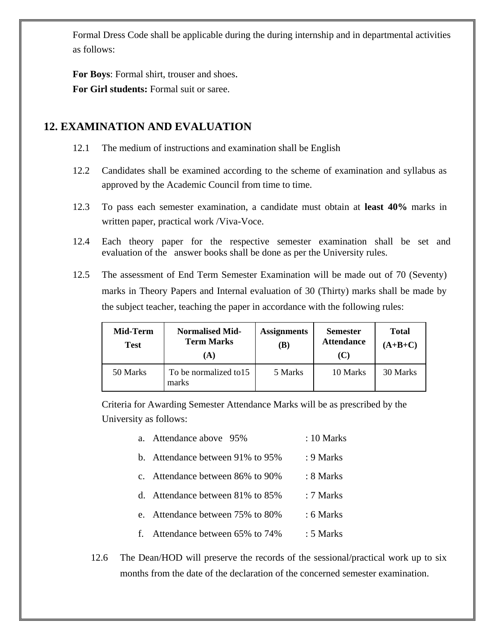Formal Dress Code shall be applicable during the during internship and in departmental activities as follows:

**For Boys**: Formal shirt, trouser and shoes. **For Girl students:** Formal suit or saree.

# **12. EXAMINATION AND EVALUATION**

- 12.1 The medium of instructions and examination shall be English
- 12.2 Candidates shall be examined according to the scheme of examination and syllabus as approved by the Academic Council from time to time.
- 12.3 To pass each semester examination, a candidate must obtain at **least 40%** marks in written paper, practical work /Viva-Voce.
- 12.4 Each theory paper for the respective semester examination shall be set and evaluation of the answer books shall be done as per the University rules.
- 12.5 The assessment of End Term Semester Examination will be made out of 70 (Seventy) marks in Theory Papers and Internal evaluation of 30 (Thirty) marks shall be made by the subject teacher, teaching the paper in accordance with the following rules:

| Mid-Term<br>Test | <b>Normalised Mid-</b><br><b>Term Marks</b><br>(A) | <b>Assignments</b><br>(B) | <b>Semester</b><br><b>Attendance</b><br>(C) | <b>Total</b><br>$(A+B+C)$ |
|------------------|----------------------------------------------------|---------------------------|---------------------------------------------|---------------------------|
| 50 Marks         | To be normalized to 15<br>marks                    | 5 Marks                   | 10 Marks                                    | 30 Marks                  |

Criteria for Awarding Semester Attendance Marks will be as prescribed by the University as follows:

| a. Attendance above 95%               | : 10 Marks      |
|---------------------------------------|-----------------|
| Attendance between 91% to 95%<br>h.   | : 9 Marks       |
| c. Attendance between 86% to 90%      | : 8 Marks       |
| Attendance between 81\% to 85\%<br>d. | $\cdot$ 7 Marks |
| e. Attendance between 75% to 80%      | : 6 Marks       |
| Attendance between 65% to 74%<br>£    | : 5 Marks       |

12.6 The Dean/HOD will preserve the records of the sessional/practical work up to six months from the date of the declaration of the concerned semester examination.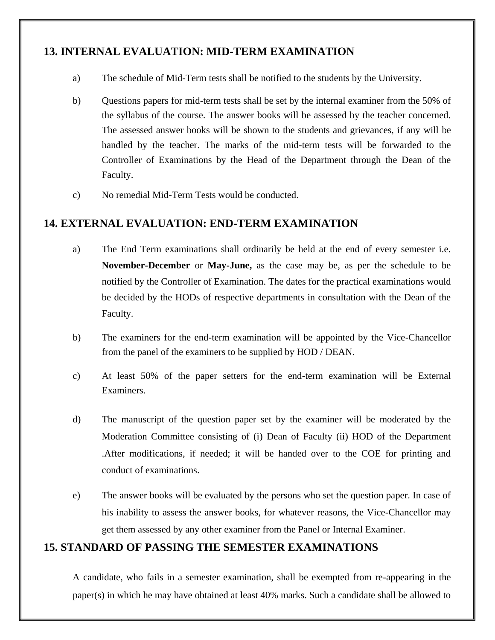# **13. INTERNAL EVALUATION: MID-TERM EXAMINATION**

- a) The schedule of Mid-Term tests shall be notified to the students by the University.
- b) Questions papers for mid-term tests shall be set by the internal examiner from the 50% of the syllabus of the course. The answer books will be assessed by the teacher concerned. The assessed answer books will be shown to the students and grievances, if any will be handled by the teacher. The marks of the mid-term tests will be forwarded to the Controller of Examinations by the Head of the Department through the Dean of the Faculty.
- c) No remedial Mid-Term Tests would be conducted.

# **14. EXTERNAL EVALUATION: END-TERM EXAMINATION**

- a) The End Term examinations shall ordinarily be held at the end of every semester i.e. **November-December** or **May-June,** as the case may be, as per the schedule to be notified by the Controller of Examination. The dates for the practical examinations would be decided by the HODs of respective departments in consultation with the Dean of the Faculty.
- b) The examiners for the end-term examination will be appointed by the Vice-Chancellor from the panel of the examiners to be supplied by HOD / DEAN.
- c) At least 50% of the paper setters for the end-term examination will be External Examiners.
- d) The manuscript of the question paper set by the examiner will be moderated by the Moderation Committee consisting of (i) Dean of Faculty (ii) HOD of the Department .After modifications, if needed; it will be handed over to the COE for printing and conduct of examinations.
- e) The answer books will be evaluated by the persons who set the question paper. In case of his inability to assess the answer books, for whatever reasons, the Vice-Chancellor may get them assessed by any other examiner from the Panel or Internal Examiner.

### **15. STANDARD OF PASSING THE SEMESTER EXAMINATIONS**

A candidate, who fails in a semester examination, shall be exempted from re-appearing in the paper(s) in which he may have obtained at least 40% marks. Such a candidate shall be allowed to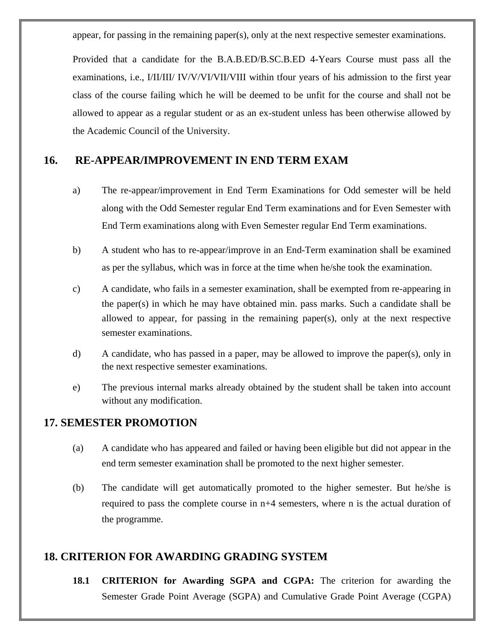appear, for passing in the remaining paper(s), only at the next respective semester examinations.

Provided that a candidate for the B.A.B.ED/B.SC.B.ED 4-Years Course must pass all the examinations, i.e., I/II/III/ IV/V/VI/VII/VIII within tfour years of his admission to the first year class of the course failing which he will be deemed to be unfit for the course and shall not be allowed to appear as a regular student or as an ex-student unless has been otherwise allowed by the Academic Council of the University.

### **16. RE-APPEAR/IMPROVEMENT IN END TERM EXAM**

- a) The re-appear/improvement in End Term Examinations for Odd semester will be held along with the Odd Semester regular End Term examinations and for Even Semester with End Term examinations along with Even Semester regular End Term examinations.
- b) A student who has to re-appear/improve in an End-Term examination shall be examined as per the syllabus, which was in force at the time when he/she took the examination.
- c) A candidate, who fails in a semester examination, shall be exempted from re-appearing in the paper(s) in which he may have obtained min. pass marks. Such a candidate shall be allowed to appear, for passing in the remaining paper(s), only at the next respective semester examinations.
- d) A candidate, who has passed in a paper, may be allowed to improve the paper(s), only in the next respective semester examinations.
- e) The previous internal marks already obtained by the student shall be taken into account without any modification.

### **17. SEMESTER PROMOTION**

- (a) A candidate who has appeared and failed or having been eligible but did not appear in the end term semester examination shall be promoted to the next higher semester.
- (b) The candidate will get automatically promoted to the higher semester. But he/she is required to pass the complete course in n+4 semesters, where n is the actual duration of the programme.

# **18. CRITERION FOR AWARDING GRADING SYSTEM**

**18.1 CRITERION for Awarding SGPA and CGPA:** The criterion for awarding the Semester Grade Point Average (SGPA) and Cumulative Grade Point Average (CGPA)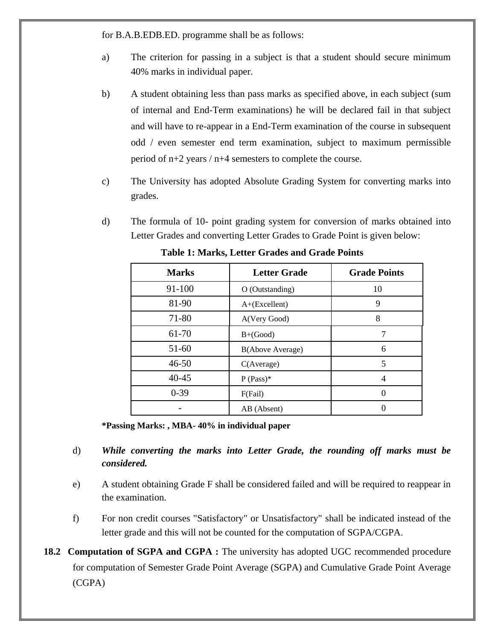for B.A.B.EDB.ED. programme shall be as follows:

- a) The criterion for passing in a subject is that a student should secure minimum 40% marks in individual paper.
- b) A student obtaining less than pass marks as specified above, in each subject (sum of internal and End-Term examinations) he will be declared fail in that subject and will have to re-appear in a End-Term examination of the course in subsequent odd / even semester end term examination, subject to maximum permissible period of n+2 years / n+4 semesters to complete the course.
- c) The University has adopted Absolute Grading System for converting marks into grades.
- d) The formula of 10- point grading system for conversion of marks obtained into Letter Grades and converting Letter Grades to Grade Point is given below:

| <b>Marks</b> | <b>Letter Grade</b> | <b>Grade Points</b> |
|--------------|---------------------|---------------------|
| 91-100       | O (Outstanding)     | 10                  |
| 81-90        | $A+(Excellent)$     | 9                   |
| 71-80        | A(Very Good)        | 8                   |
| 61-70        | $B+(Good)$          |                     |
| 51-60        | B(Above Average)    | 6                   |
| $46 - 50$    | C(Average)          | 5                   |
| $40 - 45$    | $P (Pass)*$         | 4                   |
| $0-39$       | F(Fail)             |                     |
|              | AB (Absent)         |                     |

**Table 1: Marks, Letter Grades and Grade Points**

**\*Passing Marks: , MBA- 40% in individual paper**

- d) *While converting the marks into Letter Grade, the rounding off marks must be considered.*
- e) A student obtaining Grade F shall be considered failed and will be required to reappear in the examination.
- f) For non credit courses "Satisfactory" or Unsatisfactory" shall be indicated instead of the letter grade and this will not be counted for the computation of SGPA/CGPA.
- **18.2 Computation of SGPA and CGPA :** The university has adopted UGC recommended procedure for computation of Semester Grade Point Average (SGPA) and Cumulative Grade Point Average (CGPA)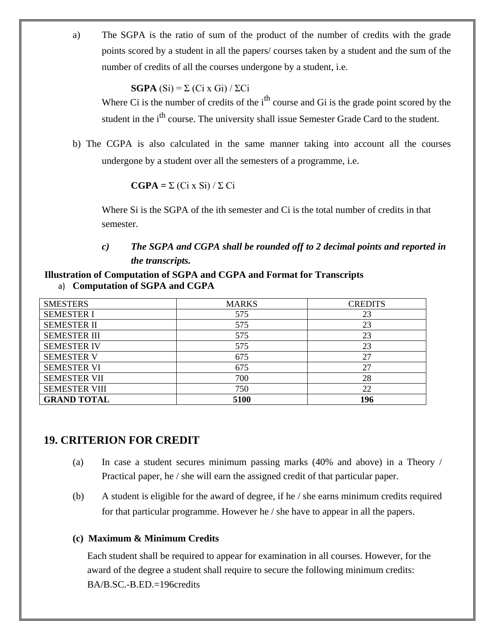a) The SGPA is the ratio of sum of the product of the number of credits with the grade points scored by a student in all the papers/ courses taken by a student and the sum of the number of credits of all the courses undergone by a student, i.e.

#### **SGPA**  $(S_i) = \sum (Ci \times G_i) / \sum Ci$

Where Ci is the number of credits of the  $i<sup>th</sup>$  course and Gi is the grade point scored by the student in the i<sup>th</sup> course. The university shall issue Semester Grade Card to the student.

b) The CGPA is also calculated in the same manner taking into account all the courses undergone by a student over all the semesters of a programme, i.e.

#### $\mathbf{CGPA} = \Sigma (\text{Ci } x \text{ Si}) / \Sigma \text{ Ci}$

Where Si is the SGPA of the ith semester and Ci is the total number of credits in that semester.

#### *c) The SGPA and CGPA shall be rounded off to 2 decimal points and reported in the transcripts.*

#### **Illustration of Computation of SGPA and CGPA and Format for Transcripts** a) **Computation of SGPA and CGPA**

| <b>SMESTERS</b>      | <b>MARKS</b> | <b>CREDITS</b> |
|----------------------|--------------|----------------|
| <b>SEMESTER I</b>    | 575          | 23             |
| <b>SEMESTER II</b>   | 575          | 23             |
| <b>SEMESTER III</b>  | 575          | 23             |
| <b>SEMESTER IV</b>   | 575          | 23             |
| <b>SEMESTER V</b>    | 675          | 27             |
| <b>SEMESTER VI</b>   | 675          | 27             |
| <b>SEMESTER VII</b>  | 700          | 28             |
| <b>SEMESTER VIII</b> | 750          | 22             |
| <b>GRAND TOTAL</b>   | 5100         | 196            |

### **19. CRITERION FOR CREDIT**

- (a) In case a student secures minimum passing marks (40% and above) in a Theory / Practical paper, he / she will earn the assigned credit of that particular paper.
- (b) A student is eligible for the award of degree, if he / she earns minimum credits required for that particular programme. However he / she have to appear in all the papers.

#### **(c) Maximum & Minimum Credits**

Each student shall be required to appear for examination in all courses. However, for the award of the degree a student shall require to secure the following minimum credits: BA/B.SC.-B.ED.=196credits